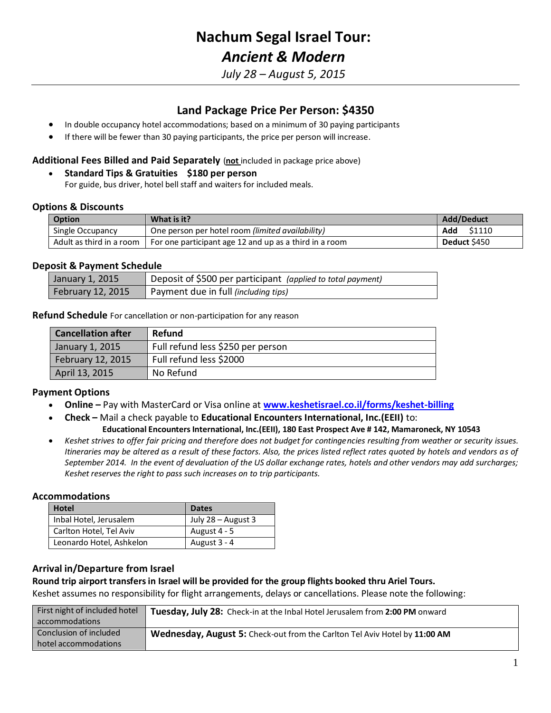# **Nachum Segal Israel Tour:** *Ancient & Modern*

*July 28 – August 5, 2015*

## **Land Package Price Per Person: \$4350**

- In double occupancy hotel accommodations; based on a minimum of 30 paying participants
- If there will be fewer than 30 paying participants, the price per person will increase.

#### **Additional Fees Billed and Paid Separately** (**not** included in package price above)

**Standard Tips & Gratuities \$180 per person**

For guide, bus driver, hotel bell staff and waiters for included meals.

#### **Options & Discounts**

| <b>Option</b>              | What is it?                                            | Add/Deduct    |
|----------------------------|--------------------------------------------------------|---------------|
| Single Occupancy           | One person per hotel room (limited availability)       | Add<br>\$1110 |
| Adult as third in a room 1 | For one participant age 12 and up as a third in a room | Deduct \$450  |

#### **Deposit & Payment Schedule**

| January 1, 2015   | △ Deposit of \$500 per participant (applied to total payment) |
|-------------------|---------------------------------------------------------------|
| February 12, 2015 | Payment due in full (including tips)                          |

**Refund Schedule** For cancellation or non-participation for any reason

| <b>Cancellation after</b> | <b>Refund</b>                     |
|---------------------------|-----------------------------------|
| January 1, 2015           | Full refund less \$250 per person |
| February 12, 2015         | Full refund less \$2000           |
| April 13, 2015            | No Refund                         |

#### **Payment Options**

- **Online –** Pay with MasterCard or Visa online at **[www.keshetisrael.co.il/forms/keshet-billing](file://srv2008/data/Forms%20and%20Templates/Debbies%20Templates/Pricing/www.keshetisrael.co.il/forms/keshet-billing)**
- **Check –** Mail a check payable to **Educational Encounters International, Inc.(EEII)** to: **Educational Encounters International, Inc.(EEII), 180 East Prospect Ave # 142, Mamaroneck, NY 10543**
- *Keshet strives to offer fair pricing and therefore does not budget for contingencies resulting from weather or security issues. Itineraries may be altered as a result of these factors. Also, the prices listed reflect rates quoted by hotels and vendors as of September 2014. In the event of devaluation of the US dollar exchange rates, hotels and other vendors may add surcharges; Keshet reserves the right to pass such increases on to trip participants.*

#### **Accommodations**

| <b>Hotel</b>             | <b>Dates</b>       |
|--------------------------|--------------------|
| Inbal Hotel, Jerusalem   | July 28 – August 3 |
| Carlton Hotel, Tel Aviv  | August 4 - 5       |
| Leonardo Hotel, Ashkelon | August 3 - 4       |

#### **Arrival in/Departure from Israel**

### **Round trip airport transfers in Israel will be provided for the group flights booked thru Ariel Tours.**

Keshet assumes no responsibility for flight arrangements, delays or cancellations. Please note the following:

| First night of included hotel | Tuesday, July 28: Check-in at the Inbal Hotel Jerusalem from 2:00 PM onward |
|-------------------------------|-----------------------------------------------------------------------------|
| accommodations                |                                                                             |
| Conclusion of included        | Wednesday, August 5: Check-out from the Carlton Tel Aviv Hotel by 11:00 AM  |
| hotel accommodations          |                                                                             |